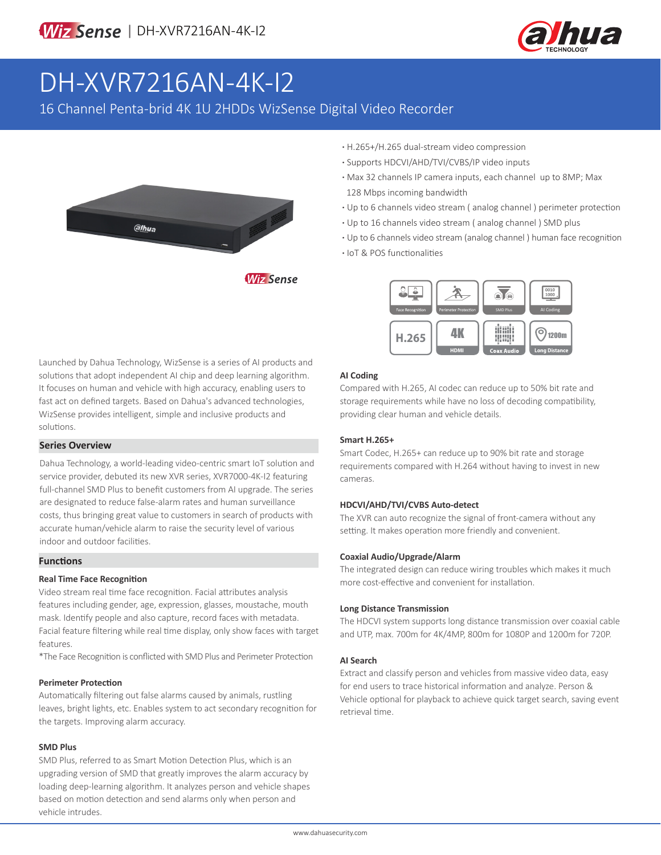

# DH-XVR7216AN-4K-I2

16 Channel Penta-brid 4K 1U 2HDDs WizSense Digital Video Recorder



- **·** H.265+/H.265 dual-stream video compression
- **·** Supports HDCVI/AHD/TVI/CVBS/IP video inputs
- **·** Max 32 channels IP camera inputs, each channel up to 8MP; Max 128 Mbps incoming bandwidth
- **·** Up to 6 channels video stream ( analog channel ) perimeter protection
- **·** Up to 16 channels video stream ( analog channel ) SMD plus
- **·** Up to 6 channels video stream (analog channel ) human face recognition
- **·** IoT & POS functionalities



### **AI Coding**

Compared with H.265, AI codec can reduce up to 50% bit rate and storage requirements while have no loss of decoding compatibility, providing clear human and vehicle details.

#### **Smart H.265+**

Smart Codec, H.265+ can reduce up to 90% bit rate and storage requirements compared with H.264 without having to invest in new cameras.

#### **HDCVI/AHD/TVI/CVBS Auto-detect**

The XVR can auto recognize the signal of front-camera without any setting. It makes operation more friendly and convenient.

#### **Coaxial Audio/Upgrade/Alarm**

The integrated design can reduce wiring troubles which makes it much more cost-effective and convenient for installation.

#### **Long Distance Transmission**

The HDCVI system supports long distance transmission over coaxial cable and UTP, max. 700m for 4K/4MP, 800m for 1080P and 1200m for 720P.

#### **AI Search**

Extract and classify person and vehicles from massive video data, easy for end users to trace historical information and analyze. Person & Vehicle optional for playback to achieve quick target search, saving event retrieval time.

Launched by Dahua Technology, WizSense is a series of AI products and solutions that adopt independent AI chip and deep learning algorithm. It focuses on human and vehicle with high accuracy, enabling users to fast act on defined targets. Based on Dahua's advanced technologies, WizSense provides intelligent, simple and inclusive products and solutions.

#### **Series Overview**

Dahua Technology, a world-leading video-centric smart IoT solution and service provider, debuted its new XVR series, XVR7000-4K-I2 featuring full-channel SMD Plus to benefit customers from AI upgrade. The series are designated to reduce false-alarm rates and human surveillance costs, thus bringing great value to customers in search of products with accurate human/vehicle alarm to raise the security level of various indoor and outdoor facilities.

#### **Functions**

#### **Real Time Face Recognition**

Video stream real time face recognition. Facial attributes analysis features including gender, age, expression, glasses, moustache, mouth mask. Identify people and also capture, record faces with metadata. Facial feature filtering while real time display, only show faces with target features.

\*The Face Recognition is conflicted with SMD Plus and Perimeter Protection

#### **Perimeter Protection**

Automatically filtering out false alarms caused by animals, rustling leaves, bright lights, etc. Enables system to act secondary recognition for the targets. Improving alarm accuracy.

#### **SMD Plus**

SMD Plus, referred to as Smart Motion Detection Plus, which is an upgrading version of SMD that greatly improves the alarm accuracy by loading deep-learning algorithm. It analyzes person and vehicle shapes based on motion detection and send alarms only when person and vehicle intrudes.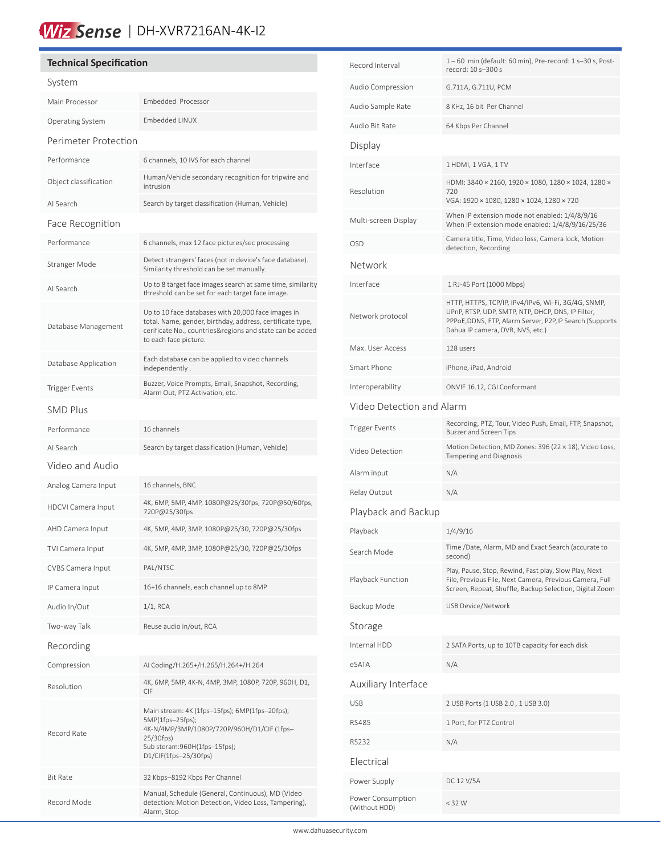## Wiz Sense | DH-XVR7216AN-4K-I2

#### **Technical Specification** System Main Processor Embedded Processor Operating System Embedded LINUX Perimeter Protection Performance 6 channels, 10 IVS for each channel Object classification Human/Vehicle secondary recognition for tripwire and intrusion AI Search Search by target classification (Human, Vehicle) Face Recognition Performance 6 channels, max 12 face pictures/sec processing Stranger Mode<br>
Stranger Mode<br>
Cimilarity through an be set manually Similarity threshold can be set manually. AI Search Up to 8 target face images search at same time, similarity threshold can be set for each target face image. Database Management Up to 10 face databases with 20,000 face images in total. Name, gender, birthday, address, certificate type, cerificate No., countries&regions and state can be added to each face picture. Database Application Each database can be applied to video channels independently . Trigger Events<br>Alam Out PT7 Astivative attracts. Recording, Alarm Out, PTZ Activation, etc. SMD Plus Performance 16 channels AI Search Search by target classification (Human, Vehicle) Video and Audio Analog Camera Input 16 channels, BNC HDCVI Camera Input 4K, 6MP, 5MP, 4MP, 1080P@25/30fps, 720P@50/60fps, 720P@25/30fps AHD Camera Input 4K, 5MP, 4MP, 3MP, 1080P@25/30, 720P@25/30fps TVI Camera Input 4K, 5MP, 4MP, 3MP, 1080P@25/30, 720P@25/30fps CVBS Camera Input PAL/NTSC IP Camera Input 16+16 channels, each channel up to 8MP Audio In/Out 1/1, RCA Two-way Talk Reuse audio in/out, RCA Recording Compression AI Coding/H.265+/H.265/H.264+/H.264 Resolution 4K, 6MP, 5MP, 4K-N, 4MP, 3MP, 1080P, 720P, 960H, D1, CIF Record Rate Main stream: 4K (1fps–15fps); 6MP(1fps–20fps); 5MP(1fps–25fps); 4K-N/4MP/3MP/1080P/720P/960H/D1/CIF (1fps– 25/30fps) Sub steram:960H(1fps–15fps); D1/CIF(1fps–25/30fps) Bit Rate 32 Kbps–8192 Kbps Per Channel Record Mode Manual, Schedule (General, Continuous), MD (Video detection: Motion Detection, Video Loss, Tampering), Alarm, Stop

֠

| Record Interval                    | 1-60 min (default: 60 min), Pre-record: 1 s-30 s, Post-<br>record: 10 s-300 s                                                                                                                            |  |  |  |
|------------------------------------|----------------------------------------------------------------------------------------------------------------------------------------------------------------------------------------------------------|--|--|--|
| Audio Compression                  | G.711A, G.711U, PCM                                                                                                                                                                                      |  |  |  |
| Audio Sample Rate                  | 8 KHz, 16 bit Per Channel                                                                                                                                                                                |  |  |  |
| Audio Bit Rate                     | 64 Kbps Per Channel                                                                                                                                                                                      |  |  |  |
| Display                            |                                                                                                                                                                                                          |  |  |  |
| Interface                          | 1 HDMI, 1 VGA, 1 TV                                                                                                                                                                                      |  |  |  |
| Resolution                         | HDMI: 3840 × 2160, 1920 × 1080, 1280 × 1024, 1280 ×<br>720<br>VGA: 1920 × 1080, 1280 × 1024, 1280 × 720                                                                                                  |  |  |  |
| Multi-screen Display               | When IP extension mode not enabled: 1/4/8/9/16<br>When IP extension mode enabled: 1/4/8/9/16/25/36                                                                                                       |  |  |  |
| <b>OSD</b>                         | Camera title, Time, Video loss, Camera lock, Motion<br>detection, Recording                                                                                                                              |  |  |  |
| Network                            |                                                                                                                                                                                                          |  |  |  |
| Interface                          | 1 RJ-45 Port (1000 Mbps)                                                                                                                                                                                 |  |  |  |
| Network protocol                   | HTTP, HTTPS, TCP/IP, IPv4/IPv6, Wi-Fi, 3G/4G, SNMP,<br>UPnP, RTSP, UDP, SMTP, NTP, DHCP, DNS, IP Filter,<br>PPPoE, DDNS, FTP, Alarm Server, P2P, IP Search (Supports<br>Dahua IP camera, DVR, NVS, etc.) |  |  |  |
| Max. User Access                   | 128 users                                                                                                                                                                                                |  |  |  |
| Smart Phone                        | iPhone, iPad, Android                                                                                                                                                                                    |  |  |  |
| Interoperability                   | ONVIF 16.12, CGI Conformant                                                                                                                                                                              |  |  |  |
| Video Detection and Alarm          |                                                                                                                                                                                                          |  |  |  |
| <b>Trigger Events</b>              | Recording, PTZ, Tour, Video Push, Email, FTP, Snapshot,<br>Buzzer and Screen Tips                                                                                                                        |  |  |  |
| Video Detection                    | Motion Detection, MD Zones: 396 (22 × 18), Video Loss,<br>Tampering and Diagnosis                                                                                                                        |  |  |  |
| Alarm input                        | N/A                                                                                                                                                                                                      |  |  |  |
| Relay Output                       | N/A                                                                                                                                                                                                      |  |  |  |
| Playback and Backup                |                                                                                                                                                                                                          |  |  |  |
| Playback                           | 1/4/9/16                                                                                                                                                                                                 |  |  |  |
| Search Mode                        | Time /Date, Alarm, MD and Exact Search (accurate to<br>second)                                                                                                                                           |  |  |  |
| Playback Function                  | Play, Pause, Stop, Rewind, Fast play, Slow Play, Next<br>File, Previous File, Next Camera, Previous Camera, Full<br>Screen, Repeat, Shuffle, Backup Selection, Digital Zoom                              |  |  |  |
| Backup Mode                        | <b>USB Device/Network</b>                                                                                                                                                                                |  |  |  |
| Storage                            |                                                                                                                                                                                                          |  |  |  |
| Internal HDD                       | 2 SATA Ports, up to 10TB capacity for each disk                                                                                                                                                          |  |  |  |
| eSATA                              | N/A                                                                                                                                                                                                      |  |  |  |
| Auxiliary Interface                |                                                                                                                                                                                                          |  |  |  |
| <b>USB</b>                         | 2 USB Ports (1 USB 2.0, 1 USB 3.0)                                                                                                                                                                       |  |  |  |
| <b>RS485</b>                       | 1 Port, for PTZ Control                                                                                                                                                                                  |  |  |  |
| <b>RS232</b>                       | N/A                                                                                                                                                                                                      |  |  |  |
| Electrical                         |                                                                                                                                                                                                          |  |  |  |
| Power Supply                       | DC 12 V/5A                                                                                                                                                                                               |  |  |  |
| Power Consumption<br>(Without HDD) | $<$ 32 W                                                                                                                                                                                                 |  |  |  |